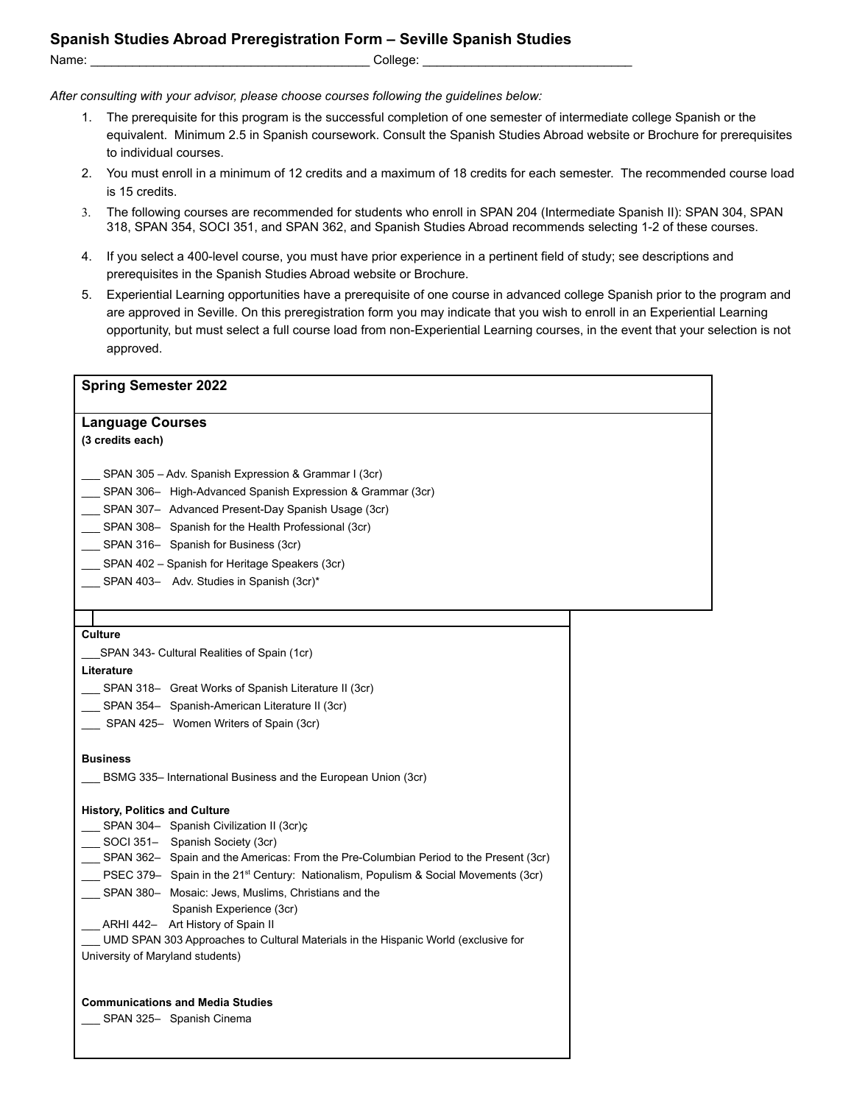## **Spanish Studies Abroad Preregistration Form – Seville Spanish Studies** Name: et al. 2001 and 2001 and 2001 and 2001 and 2001 and 2001 and 2001 and 2001 and 2001 and 2001 and 2001 and 2001 and 2001 and 2001 and 2001 and 2001 and 2001 and 2001 and 2001 and 2001 and 2001 and 2001 and 2001 and 20

*After consulting with your advisor, please choose courses following the guidelines below:*

- 1. The prerequisite for this program is the successful completion of one semester of intermediate college Spanish or the equivalent. Minimum 2.5 in Spanish coursework. Consult the Spanish Studies Abroad website or Brochure for prerequisites to individual courses.
- 2. You must enroll in a minimum of 12 credits and a maximum of 18 credits for each semester. The recommended course load is 15 credits.
- 3. The following courses are recommended for students who enroll in SPAN 204 (Intermediate Spanish II): SPAN 304, SPAN 318, SPAN 354, SOCI 351, and SPAN 362, and Spanish Studies Abroad recommends selecting 1-2 of these courses.
- 4. If you select a 400-level course, you must have prior experience in a pertinent field of study; see descriptions and prerequisites in the Spanish Studies Abroad website or Brochure.
- 5. Experiential Learning opportunities have a prerequisite of one course in advanced college Spanish prior to the program and are approved in Seville. On this preregistration form you may indicate that you wish to enroll in an Experiential Learning opportunity, but must select a full course load from non-Experiential Learning courses, in the event that your selection is not approved.

| <b>Language Courses</b><br>(3 credits each)<br>SPAN 305 – Adv. Spanish Expression & Grammar I (3cr)<br>SPAN 306- High-Advanced Spanish Expression & Grammar (3cr)<br>__ SPAN 307- Advanced Present-Day Spanish Usage (3cr)<br>SPAN 308- Spanish for the Health Professional (3cr)<br>SPAN 316- Spanish for Business (3cr)<br>SPAN 402 – Spanish for Heritage Speakers (3cr)<br>SPAN 403- Adv. Studies in Spanish (3cr)*<br><b>Culture</b><br>SPAN 343- Cultural Realities of Spain (1cr)<br>Literature<br>SPAN 318- Great Works of Spanish Literature II (3cr)<br>__ SPAN 354- Spanish-American Literature II (3cr)<br>SPAN 425- Women Writers of Spain (3cr)<br><b>Business</b><br>BSMG 335– International Business and the European Union (3cr)<br><b>History, Politics and Culture</b><br>__ SPAN 304- Spanish Civilization II (3cr)ç<br>SOCI 351- Spanish Society (3cr)<br>SPAN 362- Spain and the Americas: From the Pre-Columbian Period to the Present (3cr)<br>PSEC 379- Spain in the 21 <sup>st</sup> Century: Nationalism, Populism & Social Movements (3cr)<br>SPAN 380- Mosaic: Jews, Muslims, Christians and the<br>Spanish Experience (3cr)<br>ARHI 442- Art History of Spain II<br>UMD SPAN 303 Approaches to Cultural Materials in the Hispanic World (exclusive for<br>University of Maryland students)<br><b>Communications and Media Studies</b><br>SPAN 325- Spanish Cinema | <b>Spring Semester 2022</b> |  |
|-------------------------------------------------------------------------------------------------------------------------------------------------------------------------------------------------------------------------------------------------------------------------------------------------------------------------------------------------------------------------------------------------------------------------------------------------------------------------------------------------------------------------------------------------------------------------------------------------------------------------------------------------------------------------------------------------------------------------------------------------------------------------------------------------------------------------------------------------------------------------------------------------------------------------------------------------------------------------------------------------------------------------------------------------------------------------------------------------------------------------------------------------------------------------------------------------------------------------------------------------------------------------------------------------------------------------------------------------------------------------------------------------|-----------------------------|--|
|                                                                                                                                                                                                                                                                                                                                                                                                                                                                                                                                                                                                                                                                                                                                                                                                                                                                                                                                                                                                                                                                                                                                                                                                                                                                                                                                                                                                 |                             |  |
|                                                                                                                                                                                                                                                                                                                                                                                                                                                                                                                                                                                                                                                                                                                                                                                                                                                                                                                                                                                                                                                                                                                                                                                                                                                                                                                                                                                                 |                             |  |
|                                                                                                                                                                                                                                                                                                                                                                                                                                                                                                                                                                                                                                                                                                                                                                                                                                                                                                                                                                                                                                                                                                                                                                                                                                                                                                                                                                                                 |                             |  |
|                                                                                                                                                                                                                                                                                                                                                                                                                                                                                                                                                                                                                                                                                                                                                                                                                                                                                                                                                                                                                                                                                                                                                                                                                                                                                                                                                                                                 |                             |  |
|                                                                                                                                                                                                                                                                                                                                                                                                                                                                                                                                                                                                                                                                                                                                                                                                                                                                                                                                                                                                                                                                                                                                                                                                                                                                                                                                                                                                 |                             |  |
|                                                                                                                                                                                                                                                                                                                                                                                                                                                                                                                                                                                                                                                                                                                                                                                                                                                                                                                                                                                                                                                                                                                                                                                                                                                                                                                                                                                                 |                             |  |
|                                                                                                                                                                                                                                                                                                                                                                                                                                                                                                                                                                                                                                                                                                                                                                                                                                                                                                                                                                                                                                                                                                                                                                                                                                                                                                                                                                                                 |                             |  |
|                                                                                                                                                                                                                                                                                                                                                                                                                                                                                                                                                                                                                                                                                                                                                                                                                                                                                                                                                                                                                                                                                                                                                                                                                                                                                                                                                                                                 |                             |  |
|                                                                                                                                                                                                                                                                                                                                                                                                                                                                                                                                                                                                                                                                                                                                                                                                                                                                                                                                                                                                                                                                                                                                                                                                                                                                                                                                                                                                 |                             |  |
|                                                                                                                                                                                                                                                                                                                                                                                                                                                                                                                                                                                                                                                                                                                                                                                                                                                                                                                                                                                                                                                                                                                                                                                                                                                                                                                                                                                                 |                             |  |
|                                                                                                                                                                                                                                                                                                                                                                                                                                                                                                                                                                                                                                                                                                                                                                                                                                                                                                                                                                                                                                                                                                                                                                                                                                                                                                                                                                                                 |                             |  |
|                                                                                                                                                                                                                                                                                                                                                                                                                                                                                                                                                                                                                                                                                                                                                                                                                                                                                                                                                                                                                                                                                                                                                                                                                                                                                                                                                                                                 |                             |  |
|                                                                                                                                                                                                                                                                                                                                                                                                                                                                                                                                                                                                                                                                                                                                                                                                                                                                                                                                                                                                                                                                                                                                                                                                                                                                                                                                                                                                 |                             |  |
|                                                                                                                                                                                                                                                                                                                                                                                                                                                                                                                                                                                                                                                                                                                                                                                                                                                                                                                                                                                                                                                                                                                                                                                                                                                                                                                                                                                                 |                             |  |
|                                                                                                                                                                                                                                                                                                                                                                                                                                                                                                                                                                                                                                                                                                                                                                                                                                                                                                                                                                                                                                                                                                                                                                                                                                                                                                                                                                                                 |                             |  |
|                                                                                                                                                                                                                                                                                                                                                                                                                                                                                                                                                                                                                                                                                                                                                                                                                                                                                                                                                                                                                                                                                                                                                                                                                                                                                                                                                                                                 |                             |  |
|                                                                                                                                                                                                                                                                                                                                                                                                                                                                                                                                                                                                                                                                                                                                                                                                                                                                                                                                                                                                                                                                                                                                                                                                                                                                                                                                                                                                 |                             |  |
|                                                                                                                                                                                                                                                                                                                                                                                                                                                                                                                                                                                                                                                                                                                                                                                                                                                                                                                                                                                                                                                                                                                                                                                                                                                                                                                                                                                                 |                             |  |
|                                                                                                                                                                                                                                                                                                                                                                                                                                                                                                                                                                                                                                                                                                                                                                                                                                                                                                                                                                                                                                                                                                                                                                                                                                                                                                                                                                                                 |                             |  |
|                                                                                                                                                                                                                                                                                                                                                                                                                                                                                                                                                                                                                                                                                                                                                                                                                                                                                                                                                                                                                                                                                                                                                                                                                                                                                                                                                                                                 |                             |  |
|                                                                                                                                                                                                                                                                                                                                                                                                                                                                                                                                                                                                                                                                                                                                                                                                                                                                                                                                                                                                                                                                                                                                                                                                                                                                                                                                                                                                 |                             |  |
|                                                                                                                                                                                                                                                                                                                                                                                                                                                                                                                                                                                                                                                                                                                                                                                                                                                                                                                                                                                                                                                                                                                                                                                                                                                                                                                                                                                                 |                             |  |